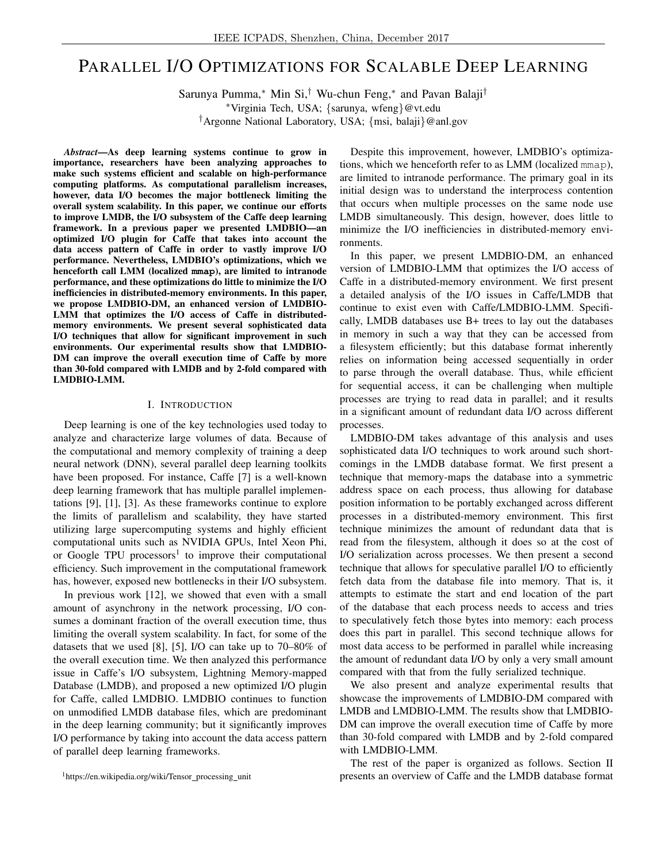# PARALLEL I/O OPTIMIZATIONS FOR SCALABLE DEEP LEARNING

Sarunya Pumma,<sup>∗</sup> Min Si,† Wu-chun Feng,<sup>∗</sup> and Pavan Balaji†

<sup>∗</sup>Virginia Tech, USA; {sarunya, wfeng}@vt.edu

†Argonne National Laboratory, USA; {msi, balaji}@anl.gov

*Abstract*—As deep learning systems continue to grow in importance, researchers have been analyzing approaches to make such systems efficient and scalable on high-performance computing platforms. As computational parallelism increases, however, data I/O becomes the major bottleneck limiting the overall system scalability. In this paper, we continue our efforts to improve LMDB, the I/O subsystem of the Caffe deep learning framework. In a previous paper we presented LMDBIO—an optimized I/O plugin for Caffe that takes into account the data access pattern of Caffe in order to vastly improve I/O performance. Nevertheless, LMDBIO's optimizations, which we henceforth call LMM (localized **mmap**), are limited to intranode performance, and these optimizations do little to minimize the I/O inefficiencies in distributed-memory environments. In this paper, we propose LMDBIO-DM, an enhanced version of LMDBIO-LMM that optimizes the I/O access of Caffe in distributedmemory environments. We present several sophisticated data I/O techniques that allow for significant improvement in such environments. Our experimental results show that LMDBIO-DM can improve the overall execution time of Caffe by more than 30-fold compared with LMDB and by 2-fold compared with LMDBIO-LMM.

#### I. INTRODUCTION

Deep learning is one of the key technologies used today to analyze and characterize large volumes of data. Because of the computational and memory complexity of training a deep neural network (DNN), several parallel deep learning toolkits have been proposed. For instance, Caffe [7] is a well-known deep learning framework that has multiple parallel implementations [9], [1], [3]. As these frameworks continue to explore the limits of parallelism and scalability, they have started utilizing large supercomputing systems and highly efficient computational units such as NVIDIA GPUs, Intel Xeon Phi, or Google TPU processors<sup>1</sup> to improve their computational efficiency. Such improvement in the computational framework has, however, exposed new bottlenecks in their I/O subsystem.

In previous work [12], we showed that even with a small amount of asynchrony in the network processing, I/O consumes a dominant fraction of the overall execution time, thus limiting the overall system scalability. In fact, for some of the datasets that we used [8], [5], I/O can take up to 70–80% of the overall execution time. We then analyzed this performance issue in Caffe's I/O subsystem, Lightning Memory-mapped Database (LMDB), and proposed a new optimized I/O plugin for Caffe, called LMDBIO. LMDBIO continues to function on unmodified LMDB database files, which are predominant in the deep learning community; but it significantly improves I/O performance by taking into account the data access pattern of parallel deep learning frameworks.

Despite this improvement, however, LMDBIO's optimizations, which we henceforth refer to as LMM (localized mmap), are limited to intranode performance. The primary goal in its initial design was to understand the interprocess contention that occurs when multiple processes on the same node use LMDB simultaneously. This design, however, does little to minimize the I/O inefficiencies in distributed-memory environments.

In this paper, we present LMDBIO-DM, an enhanced version of LMDBIO-LMM that optimizes the I/O access of Caffe in a distributed-memory environment. We first present a detailed analysis of the I/O issues in Caffe/LMDB that continue to exist even with Caffe/LMDBIO-LMM. Specifically, LMDB databases use B+ trees to lay out the databases in memory in such a way that they can be accessed from a filesystem efficiently; but this database format inherently relies on information being accessed sequentially in order to parse through the overall database. Thus, while efficient for sequential access, it can be challenging when multiple processes are trying to read data in parallel; and it results in a significant amount of redundant data I/O across different processes.

LMDBIO-DM takes advantage of this analysis and uses sophisticated data I/O techniques to work around such shortcomings in the LMDB database format. We first present a technique that memory-maps the database into a symmetric address space on each process, thus allowing for database position information to be portably exchanged across different processes in a distributed-memory environment. This first technique minimizes the amount of redundant data that is read from the filesystem, although it does so at the cost of I/O serialization across processes. We then present a second technique that allows for speculative parallel I/O to efficiently fetch data from the database file into memory. That is, it attempts to estimate the start and end location of the part of the database that each process needs to access and tries to speculatively fetch those bytes into memory: each process does this part in parallel. This second technique allows for most data access to be performed in parallel while increasing the amount of redundant data I/O by only a very small amount compared with that from the fully serialized technique.

We also present and analyze experimental results that showcase the improvements of LMDBIO-DM compared with LMDB and LMDBIO-LMM. The results show that LMDBIO-DM can improve the overall execution time of Caffe by more than 30-fold compared with LMDB and by 2-fold compared with LMDBIO-LMM.

The rest of the paper is organized as follows. Section II presents an overview of Caffe and the LMDB database format

<sup>&</sup>lt;sup>1</sup>https://en.wikipedia.org/wiki/Tensor\_processing\_unit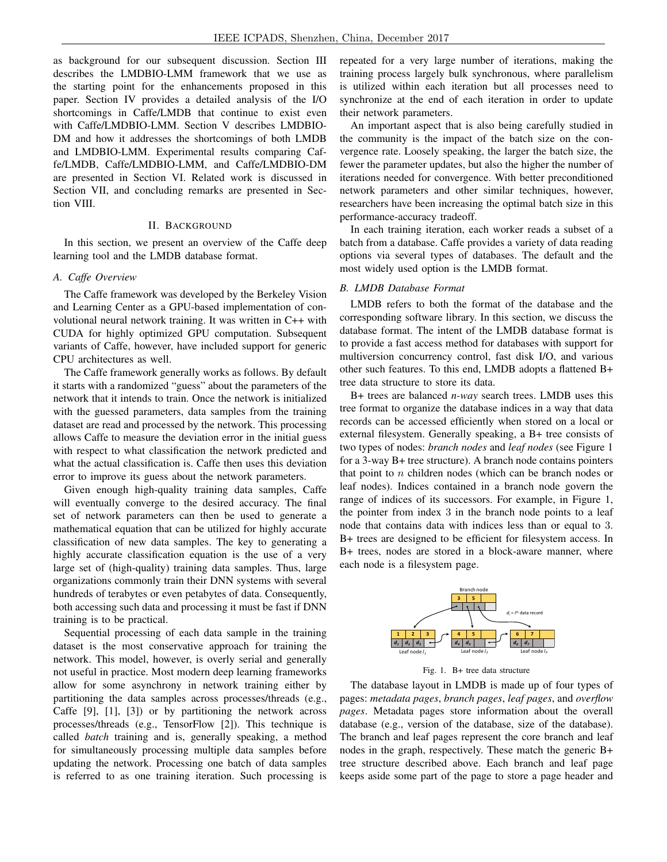as background for our subsequent discussion. Section III describes the LMDBIO-LMM framework that we use as the starting point for the enhancements proposed in this paper. Section IV provides a detailed analysis of the I/O shortcomings in Caffe/LMDB that continue to exist even with Caffe/LMDBIO-LMM. Section V describes LMDBIO-DM and how it addresses the shortcomings of both LMDB and LMDBIO-LMM. Experimental results comparing Caffe/LMDB, Caffe/LMDBIO-LMM, and Caffe/LMDBIO-DM are presented in Section VI. Related work is discussed in Section VII, and concluding remarks are presented in Section VIII.

### II. BACKGROUND

In this section, we present an overview of the Caffe deep learning tool and the LMDB database format.

### *A. Caffe Overview*

The Caffe framework was developed by the Berkeley Vision and Learning Center as a GPU-based implementation of convolutional neural network training. It was written in C++ with CUDA for highly optimized GPU computation. Subsequent variants of Caffe, however, have included support for generic CPU architectures as well.

The Caffe framework generally works as follows. By default it starts with a randomized "guess" about the parameters of the network that it intends to train. Once the network is initialized with the guessed parameters, data samples from the training dataset are read and processed by the network. This processing allows Caffe to measure the deviation error in the initial guess with respect to what classification the network predicted and what the actual classification is. Caffe then uses this deviation error to improve its guess about the network parameters.

Given enough high-quality training data samples, Caffe will eventually converge to the desired accuracy. The final set of network parameters can then be used to generate a mathematical equation that can be utilized for highly accurate classification of new data samples. The key to generating a highly accurate classification equation is the use of a very large set of (high-quality) training data samples. Thus, large organizations commonly train their DNN systems with several hundreds of terabytes or even petabytes of data. Consequently, both accessing such data and processing it must be fast if DNN training is to be practical.

Sequential processing of each data sample in the training dataset is the most conservative approach for training the network. This model, however, is overly serial and generally not useful in practice. Most modern deep learning frameworks allow for some asynchrony in network training either by partitioning the data samples across processes/threads (e.g., Caffe [9], [1], [3]) or by partitioning the network across processes/threads (e.g., TensorFlow [2]). This technique is called *batch* training and is, generally speaking, a method for simultaneously processing multiple data samples before updating the network. Processing one batch of data samples is referred to as one training iteration. Such processing is

repeated for a very large number of iterations, making the training process largely bulk synchronous, where parallelism is utilized within each iteration but all processes need to synchronize at the end of each iteration in order to update their network parameters.

An important aspect that is also being carefully studied in the community is the impact of the batch size on the convergence rate. Loosely speaking, the larger the batch size, the fewer the parameter updates, but also the higher the number of iterations needed for convergence. With better preconditioned network parameters and other similar techniques, however, researchers have been increasing the optimal batch size in this performance-accuracy tradeoff.

In each training iteration, each worker reads a subset of a batch from a database. Caffe provides a variety of data reading options via several types of databases. The default and the most widely used option is the LMDB format.

# *B. LMDB Database Format*

LMDB refers to both the format of the database and the corresponding software library. In this section, we discuss the database format. The intent of the LMDB database format is to provide a fast access method for databases with support for multiversion concurrency control, fast disk I/O, and various other such features. To this end, LMDB adopts a flattened B+ tree data structure to store its data.

B+ trees are balanced *n-way* search trees. LMDB uses this tree format to organize the database indices in a way that data records can be accessed efficiently when stored on a local or external filesystem. Generally speaking, a B+ tree consists of two types of nodes: *branch nodes* and *leaf nodes* (see Figure 1 for a 3-way B+ tree structure). A branch node contains pointers that point to  $n$  children nodes (which can be branch nodes or leaf nodes). Indices contained in a branch node govern the range of indices of its successors. For example, in Figure 1, the pointer from index 3 in the branch node points to a leaf node that contains data with indices less than or equal to 3. B+ trees are designed to be efficient for filesystem access. In B+ trees, nodes are stored in a block-aware manner, where each node is a filesystem page.



Fig. 1. B+ tree data structure

The database layout in LMDB is made up of four types of pages: *metadata pages*, *branch pages*, *leaf pages*, and *overflow pages*. Metadata pages store information about the overall database (e.g., version of the database, size of the database). The branch and leaf pages represent the core branch and leaf nodes in the graph, respectively. These match the generic B+ tree structure described above. Each branch and leaf page keeps aside some part of the page to store a page header and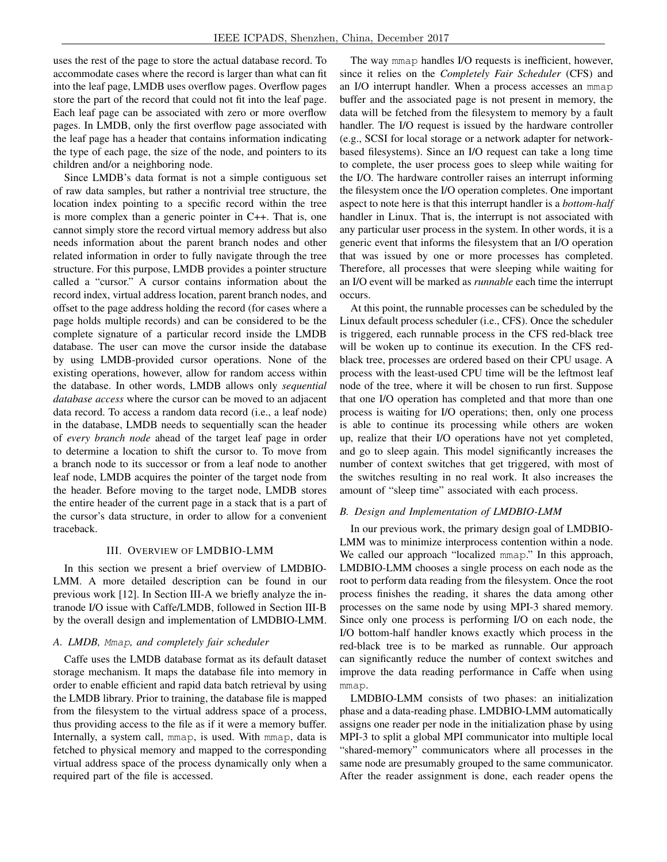uses the rest of the page to store the actual database record. To accommodate cases where the record is larger than what can fit into the leaf page, LMDB uses overflow pages. Overflow pages store the part of the record that could not fit into the leaf page. Each leaf page can be associated with zero or more overflow pages. In LMDB, only the first overflow page associated with the leaf page has a header that contains information indicating the type of each page, the size of the node, and pointers to its children and/or a neighboring node.

Since LMDB's data format is not a simple contiguous set of raw data samples, but rather a nontrivial tree structure, the location index pointing to a specific record within the tree is more complex than a generic pointer in C++. That is, one cannot simply store the record virtual memory address but also needs information about the parent branch nodes and other related information in order to fully navigate through the tree structure. For this purpose, LMDB provides a pointer structure called a "cursor." A cursor contains information about the record index, virtual address location, parent branch nodes, and offset to the page address holding the record (for cases where a page holds multiple records) and can be considered to be the complete signature of a particular record inside the LMDB database. The user can move the cursor inside the database by using LMDB-provided cursor operations. None of the existing operations, however, allow for random access within the database. In other words, LMDB allows only *sequential database access* where the cursor can be moved to an adjacent data record. To access a random data record (i.e., a leaf node) in the database, LMDB needs to sequentially scan the header of *every branch node* ahead of the target leaf page in order to determine a location to shift the cursor to. To move from a branch node to its successor or from a leaf node to another leaf node, LMDB acquires the pointer of the target node from the header. Before moving to the target node, LMDB stores the entire header of the current page in a stack that is a part of the cursor's data structure, in order to allow for a convenient traceback.

# III. OVERVIEW OF LMDBIO-LMM

In this section we present a brief overview of LMDBIO-LMM. A more detailed description can be found in our previous work [12]. In Section III-A we briefly analyze the intranode I/O issue with Caffe/LMDB, followed in Section III-B by the overall design and implementation of LMDBIO-LMM.

# *A. LMDB,* Mmap*, and completely fair scheduler*

Caffe uses the LMDB database format as its default dataset storage mechanism. It maps the database file into memory in order to enable efficient and rapid data batch retrieval by using the LMDB library. Prior to training, the database file is mapped from the filesystem to the virtual address space of a process, thus providing access to the file as if it were a memory buffer. Internally, a system call, mmap, is used. With mmap, data is fetched to physical memory and mapped to the corresponding virtual address space of the process dynamically only when a required part of the file is accessed.

The way mmap handles I/O requests is inefficient, however, since it relies on the *Completely Fair Scheduler* (CFS) and an I/O interrupt handler. When a process accesses an mmap buffer and the associated page is not present in memory, the data will be fetched from the filesystem to memory by a fault handler. The I/O request is issued by the hardware controller (e.g., SCSI for local storage or a network adapter for networkbased filesystems). Since an I/O request can take a long time to complete, the user process goes to sleep while waiting for the I/O. The hardware controller raises an interrupt informing the filesystem once the I/O operation completes. One important aspect to note here is that this interrupt handler is a *bottom-half* handler in Linux. That is, the interrupt is not associated with any particular user process in the system. In other words, it is a generic event that informs the filesystem that an I/O operation that was issued by one or more processes has completed. Therefore, all processes that were sleeping while waiting for an I/O event will be marked as *runnable* each time the interrupt occurs.

At this point, the runnable processes can be scheduled by the Linux default process scheduler (i.e., CFS). Once the scheduler is triggered, each runnable process in the CFS red-black tree will be woken up to continue its execution. In the CFS redblack tree, processes are ordered based on their CPU usage. A process with the least-used CPU time will be the leftmost leaf node of the tree, where it will be chosen to run first. Suppose that one I/O operation has completed and that more than one process is waiting for I/O operations; then, only one process is able to continue its processing while others are woken up, realize that their I/O operations have not yet completed, and go to sleep again. This model significantly increases the number of context switches that get triggered, with most of the switches resulting in no real work. It also increases the amount of "sleep time" associated with each process.

# *B. Design and Implementation of LMDBIO-LMM*

In our previous work, the primary design goal of LMDBIO-LMM was to minimize interprocess contention within a node. We called our approach "localized mmap." In this approach, LMDBIO-LMM chooses a single process on each node as the root to perform data reading from the filesystem. Once the root process finishes the reading, it shares the data among other processes on the same node by using MPI-3 shared memory. Since only one process is performing I/O on each node, the I/O bottom-half handler knows exactly which process in the red-black tree is to be marked as runnable. Our approach can significantly reduce the number of context switches and improve the data reading performance in Caffe when using mmap.

LMDBIO-LMM consists of two phases: an initialization phase and a data-reading phase. LMDBIO-LMM automatically assigns one reader per node in the initialization phase by using MPI-3 to split a global MPI communicator into multiple local "shared-memory" communicators where all processes in the same node are presumably grouped to the same communicator. After the reader assignment is done, each reader opens the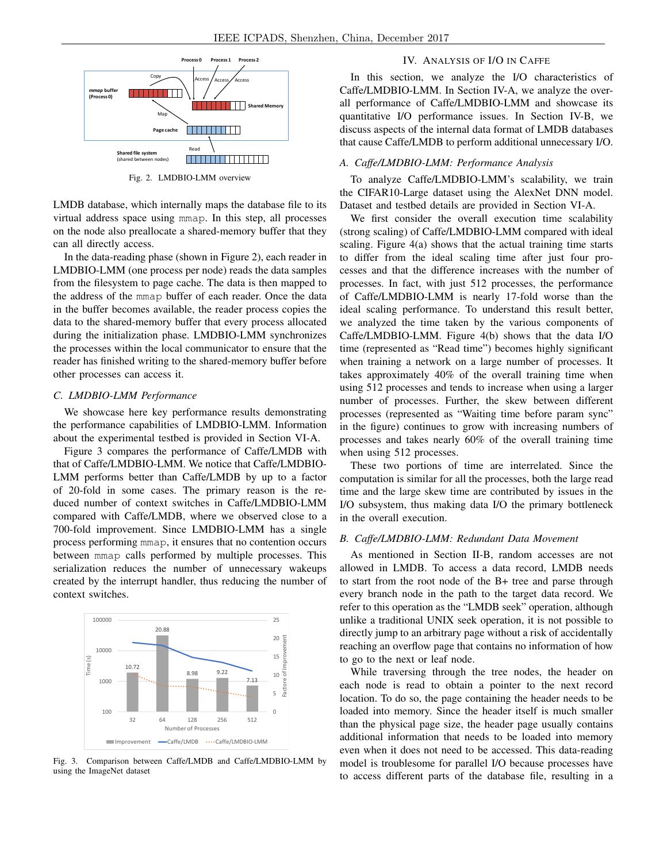

Fig. 2. LMDBIO-LMM overview

LMDB database, which internally maps the database file to its virtual address space using mmap. In this step, all processes on the node also preallocate a shared-memory buffer that they can all directly access.

In the data-reading phase (shown in Figure 2), each reader in LMDBIO-LMM (one process per node) reads the data samples from the filesystem to page cache. The data is then mapped to the address of the mmap buffer of each reader. Once the data in the buffer becomes available, the reader process copies the data to the shared-memory buffer that every process allocated during the initialization phase. LMDBIO-LMM synchronizes the processes within the local communicator to ensure that the reader has finished writing to the shared-memory buffer before other processes can access it.

### *C. LMDBIO-LMM Performance*

We showcase here key performance results demonstrating the performance capabilities of LMDBIO-LMM. Information about the experimental testbed is provided in Section VI-A.

Figure 3 compares the performance of Caffe/LMDB with that of Caffe/LMDBIO-LMM. We notice that Caffe/LMDBIO-LMM performs better than Caffe/LMDB by up to a factor of 20-fold in some cases. The primary reason is the reduced number of context switches in Caffe/LMDBIO-LMM compared with Caffe/LMDB, where we observed close to a 700-fold improvement. Since LMDBIO-LMM has a single process performing mmap, it ensures that no contention occurs between mmap calls performed by multiple processes. This serialization reduces the number of unnecessary wakeups created by the interrupt handler, thus reducing the number of context switches.



Fig. 3. Comparison between Caffe/LMDB and Caffe/LMDBIO-LMM by using the ImageNet dataset

# IV. ANALYSIS OF I/O IN CAFFE

In this section, we analyze the I/O characteristics of Caffe/LMDBIO-LMM. In Section IV-A, we analyze the overall performance of Caffe/LMDBIO-LMM and showcase its quantitative I/O performance issues. In Section IV-B, we discuss aspects of the internal data format of LMDB databases that cause Caffe/LMDB to perform additional unnecessary I/O.

## *A. Caffe/LMDBIO-LMM: Performance Analysis*

To analyze Caffe/LMDBIO-LMM's scalability, we train the CIFAR10-Large dataset using the AlexNet DNN model. Dataset and testbed details are provided in Section VI-A.

We first consider the overall execution time scalability (strong scaling) of Caffe/LMDBIO-LMM compared with ideal scaling. Figure 4(a) shows that the actual training time starts to differ from the ideal scaling time after just four processes and that the difference increases with the number of processes. In fact, with just 512 processes, the performance of Caffe/LMDBIO-LMM is nearly 17-fold worse than the ideal scaling performance. To understand this result better, we analyzed the time taken by the various components of Caffe/LMDBIO-LMM. Figure 4(b) shows that the data I/O time (represented as "Read time") becomes highly significant when training a network on a large number of processes. It takes approximately 40% of the overall training time when using 512 processes and tends to increase when using a larger number of processes. Further, the skew between different processes (represented as "Waiting time before param sync" in the figure) continues to grow with increasing numbers of processes and takes nearly 60% of the overall training time when using 512 processes.

These two portions of time are interrelated. Since the computation is similar for all the processes, both the large read time and the large skew time are contributed by issues in the I/O subsystem, thus making data I/O the primary bottleneck in the overall execution.

# *B. Caffe/LMDBIO-LMM: Redundant Data Movement*

As mentioned in Section II-B, random accesses are not allowed in LMDB. To access a data record, LMDB needs to start from the root node of the B+ tree and parse through every branch node in the path to the target data record. We refer to this operation as the "LMDB seek" operation, although unlike a traditional UNIX seek operation, it is not possible to directly jump to an arbitrary page without a risk of accidentally reaching an overflow page that contains no information of how to go to the next or leaf node.

While traversing through the tree nodes, the header on each node is read to obtain a pointer to the next record location. To do so, the page containing the header needs to be loaded into memory. Since the header itself is much smaller than the physical page size, the header page usually contains additional information that needs to be loaded into memory even when it does not need to be accessed. This data-reading model is troublesome for parallel I/O because processes have to access different parts of the database file, resulting in a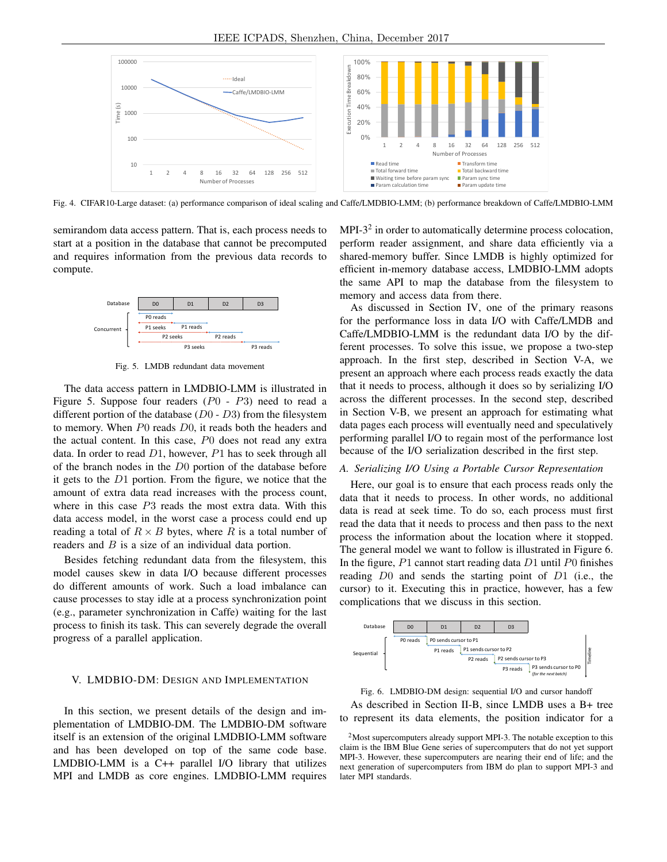

Fig. 4. CIFAR10-Large dataset: (a) performance comparison of ideal scaling and Caffe/LMDBIO-LMM; (b) performance breakdown of Caffe/LMDBIO-LMM

semirandom data access pattern. That is, each process needs to start at a position in the database that cannot be precomputed and requires information from the previous data records to compute.



Fig. 5. LMDB redundant data movement

The data access pattern in LMDBIO-LMM is illustrated in Figure 5. Suppose four readers  $(P0 - P3)$  need to read a different portion of the database  $(D0 - D3)$  from the filesystem to memory. When P0 reads D0, it reads both the headers and the actual content. In this case, P0 does not read any extra data. In order to read  $D1$ , however,  $P1$  has to seek through all of the branch nodes in the D0 portion of the database before it gets to the D1 portion. From the figure, we notice that the amount of extra data read increases with the process count, where in this case P3 reads the most extra data. With this data access model, in the worst case a process could end up reading a total of  $R \times B$  bytes, where R is a total number of readers and  $B$  is a size of an individual data portion.

Besides fetching redundant data from the filesystem, this model causes skew in data I/O because different processes do different amounts of work. Such a load imbalance can cause processes to stay idle at a process synchronization point (e.g., parameter synchronization in Caffe) waiting for the last process to finish its task. This can severely degrade the overall progress of a parallel application.

# V. LMDBIO-DM: DESIGN AND IMPLEMENTATION

In this section, we present details of the design and implementation of LMDBIO-DM. The LMDBIO-DM software itself is an extension of the original LMDBIO-LMM software and has been developed on top of the same code base. LMDBIO-LMM is a C++ parallel I/O library that utilizes MPI and LMDB as core engines. LMDBIO-LMM requires

 $MPI-3<sup>2</sup>$  in order to automatically determine process colocation, perform reader assignment, and share data efficiently via a shared-memory buffer. Since LMDB is highly optimized for efficient in-memory database access, LMDBIO-LMM adopts the same API to map the database from the filesystem to memory and access data from there.

As discussed in Section IV, one of the primary reasons for the performance loss in data I/O with Caffe/LMDB and Caffe/LMDBIO-LMM is the redundant data I/O by the different processes. To solve this issue, we propose a two-step approach. In the first step, described in Section V-A, we present an approach where each process reads exactly the data that it needs to process, although it does so by serializing I/O across the different processes. In the second step, described in Section V-B, we present an approach for estimating what data pages each process will eventually need and speculatively performing parallel I/O to regain most of the performance lost because of the I/O serialization described in the first step.

# *A. Serializing I/O Using a Portable Cursor Representation*

Here, our goal is to ensure that each process reads only the data that it needs to process. In other words, no additional data is read at seek time. To do so, each process must first read the data that it needs to process and then pass to the next process the information about the location where it stopped. The general model we want to follow is illustrated in Figure 6. In the figure,  $P1$  cannot start reading data  $D1$  until  $P0$  finishes reading D0 and sends the starting point of D1 (i.e., the cursor) to it. Executing this in practice, however, has a few complications that we discuss in this section.



Fig. 6. LMDBIO-DM design: sequential I/O and cursor handoff

As described in Section II-B, since LMDB uses a B+ tree to represent its data elements, the position indicator for a

<sup>&</sup>lt;sup>2</sup>Most supercomputers already support MPI-3. The notable exception to this claim is the IBM Blue Gene series of supercomputers that do not yet support MPI-3. However, these supercomputers are nearing their end of life; and the next generation of supercomputers from IBM do plan to support MPI-3 and later MPI standards.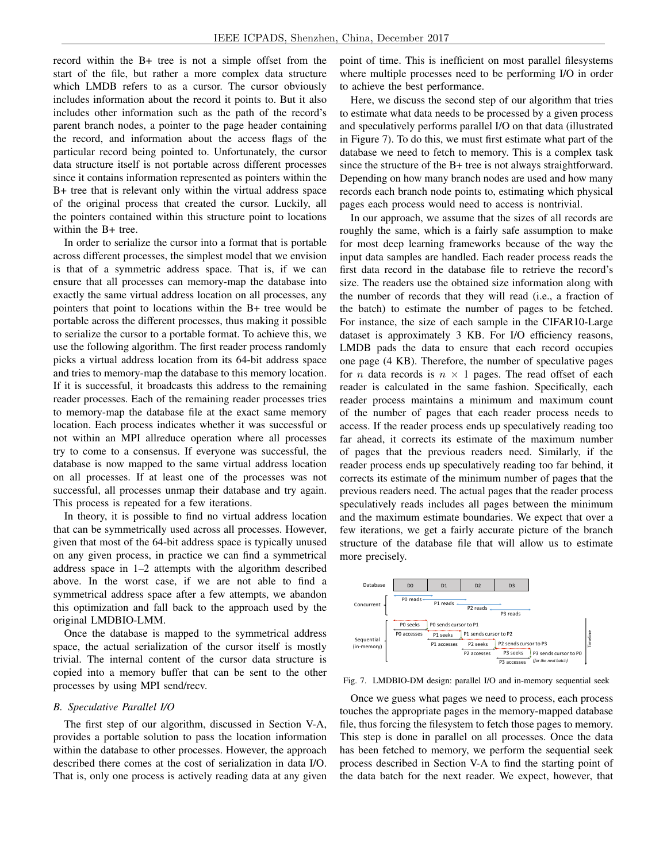record within the B+ tree is not a simple offset from the start of the file, but rather a more complex data structure which LMDB refers to as a cursor. The cursor obviously includes information about the record it points to. But it also includes other information such as the path of the record's parent branch nodes, a pointer to the page header containing the record, and information about the access flags of the particular record being pointed to. Unfortunately, the cursor data structure itself is not portable across different processes since it contains information represented as pointers within the B+ tree that is relevant only within the virtual address space of the original process that created the cursor. Luckily, all the pointers contained within this structure point to locations within the B+ tree.

In order to serialize the cursor into a format that is portable across different processes, the simplest model that we envision is that of a symmetric address space. That is, if we can ensure that all processes can memory-map the database into exactly the same virtual address location on all processes, any pointers that point to locations within the B+ tree would be portable across the different processes, thus making it possible to serialize the cursor to a portable format. To achieve this, we use the following algorithm. The first reader process randomly picks a virtual address location from its 64-bit address space and tries to memory-map the database to this memory location. If it is successful, it broadcasts this address to the remaining reader processes. Each of the remaining reader processes tries to memory-map the database file at the exact same memory location. Each process indicates whether it was successful or not within an MPI allreduce operation where all processes try to come to a consensus. If everyone was successful, the database is now mapped to the same virtual address location on all processes. If at least one of the processes was not successful, all processes unmap their database and try again. This process is repeated for a few iterations.

In theory, it is possible to find no virtual address location that can be symmetrically used across all processes. However, given that most of the 64-bit address space is typically unused on any given process, in practice we can find a symmetrical address space in 1–2 attempts with the algorithm described above. In the worst case, if we are not able to find a symmetrical address space after a few attempts, we abandon this optimization and fall back to the approach used by the original LMDBIO-LMM.

Once the database is mapped to the symmetrical address space, the actual serialization of the cursor itself is mostly trivial. The internal content of the cursor data structure is copied into a memory buffer that can be sent to the other processes by using MPI send/recv.

# *B. Speculative Parallel I/O*

The first step of our algorithm, discussed in Section V-A, provides a portable solution to pass the location information within the database to other processes. However, the approach described there comes at the cost of serialization in data I/O. That is, only one process is actively reading data at any given point of time. This is inefficient on most parallel filesystems where multiple processes need to be performing I/O in order to achieve the best performance.

Here, we discuss the second step of our algorithm that tries to estimate what data needs to be processed by a given process and speculatively performs parallel I/O on that data (illustrated in Figure 7). To do this, we must first estimate what part of the database we need to fetch to memory. This is a complex task since the structure of the B+ tree is not always straightforward. Depending on how many branch nodes are used and how many records each branch node points to, estimating which physical pages each process would need to access is nontrivial.

In our approach, we assume that the sizes of all records are roughly the same, which is a fairly safe assumption to make for most deep learning frameworks because of the way the input data samples are handled. Each reader process reads the first data record in the database file to retrieve the record's size. The readers use the obtained size information along with the number of records that they will read (i.e., a fraction of the batch) to estimate the number of pages to be fetched. For instance, the size of each sample in the CIFAR10-Large dataset is approximately 3 KB. For I/O efficiency reasons, LMDB pads the data to ensure that each record occupies one page (4 KB). Therefore, the number of speculative pages for *n* data records is  $n \times 1$  pages. The read offset of each reader is calculated in the same fashion. Specifically, each reader process maintains a minimum and maximum count of the number of pages that each reader process needs to access. If the reader process ends up speculatively reading too far ahead, it corrects its estimate of the maximum number of pages that the previous readers need. Similarly, if the reader process ends up speculatively reading too far behind, it corrects its estimate of the minimum number of pages that the previous readers need. The actual pages that the reader process speculatively reads includes all pages between the minimum and the maximum estimate boundaries. We expect that over a few iterations, we get a fairly accurate picture of the branch structure of the database file that will allow us to estimate more precisely.



Fig. 7. LMDBIO-DM design: parallel I/O and in-memory sequential seek

Once we guess what pages we need to process, each process touches the appropriate pages in the memory-mapped database file, thus forcing the filesystem to fetch those pages to memory. This step is done in parallel on all processes. Once the data has been fetched to memory, we perform the sequential seek process described in Section V-A to find the starting point of the data batch for the next reader. We expect, however, that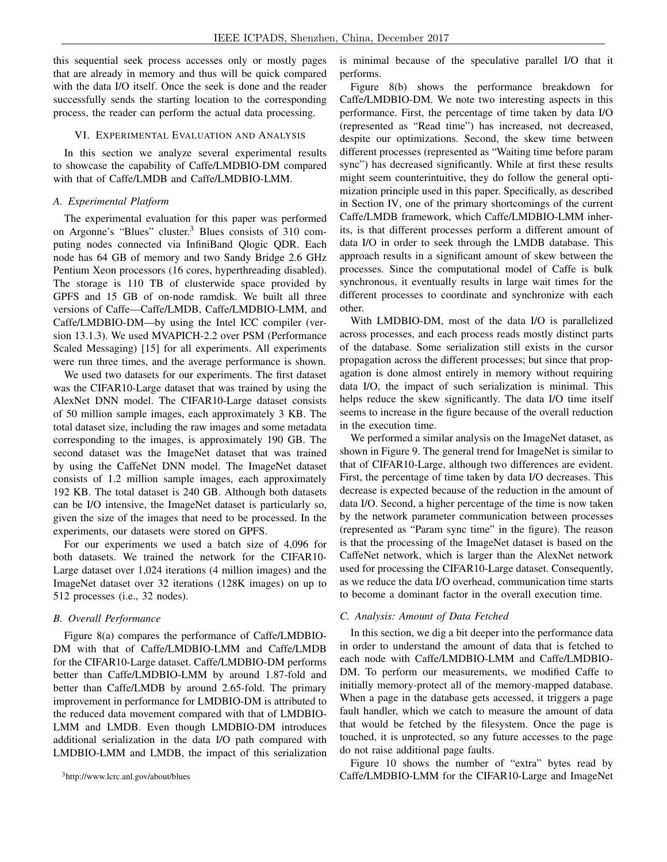this sequential seek process accesses only or mostly pages that are already in memory and thus will be quick compared with the data I/O itself. Once the seek is done and the reader successfully sends the starting location to the corresponding process, the reader can perform the actual data processing.

#### VI. EXPERIMENTAL EVALUATION AND ANALYSIS

In this section we analyze several experimental results to showcase the capability of Caffe/LMDBIO-DM compared with that of Caffe/LMDB and Caffe/LMDBIO-LMM.

### *A. Experimental Platform*

The experimental evaluation for this paper was performed on Argonne's "Blues" cluster.<sup>3</sup> Blues consists of 310 computing nodes connected via InfiniBand Qlogic QDR. Each node has 64 GB of memory and two Sandy Bridge 2.6 GHz Pentium Xeon processors (16 cores, hyperthreading disabled). The storage is 110 TB of clusterwide space provided by GPFS and 15 GB of on-node ramdisk. We built all three versions of Caffe—Caffe/LMDB, Caffe/LMDBIO-LMM, and Caffe/LMDBIO-DM—by using the Intel ICC compiler (version 13.1.3). We used MVAPICH-2.2 over PSM (Performance Scaled Messaging) [15] for all experiments. All experiments were run three times, and the average performance is shown.

We used two datasets for our experiments. The first dataset was the CIFAR10-Large dataset that was trained by using the AlexNet DNN model. The CIFAR10-Large dataset consists of 50 million sample images, each approximately 3 KB. The total dataset size, including the raw images and some metadata corresponding to the images, is approximately 190 GB. The second dataset was the ImageNet dataset that was trained by using the CaffeNet DNN model. The ImageNet dataset consists of 1.2 million sample images, each approximately 192 KB. The total dataset is 240 GB. Although both datasets can be I/O intensive, the ImageNet dataset is particularly so, given the size of the images that need to be processed. In the experiments, our datasets were stored on GPFS.

For our experiments we used a batch size of 4,096 for both datasets. We trained the network for the CIFAR10- Large dataset over 1,024 iterations (4 million images) and the ImageNet dataset over 32 iterations (128K images) on up to 512 processes (i.e., 32 nodes).

### *B. Overall Performance*

Figure 8(a) compares the performance of Caffe/LMDBIO-DM with that of Caffe/LMDBIO-LMM and Caffe/LMDB for the CIFAR10-Large dataset. Caffe/LMDBIO-DM performs better than Caffe/LMDBIO-LMM by around 1.87-fold and better than Caffe/LMDB by around 2.65-fold. The primary improvement in performance for LMDBIO-DM is attributed to the reduced data movement compared with that of LMDBIO-LMM and LMDB. Even though LMDBIO-DM introduces additional serialization in the data I/O path compared with LMDBIO-LMM and LMDB, the impact of this serialization

is minimal because of the speculative parallel I/O that it performs.

Figure 8(b) shows the performance breakdown for Caffe/LMDBIO-DM. We note two interesting aspects in this performance. First, the percentage of time taken by data I/O (represented as "Read time") has increased, not decreased, despite our optimizations. Second, the skew time between different processes (represented as "Waiting time before param sync") has decreased significantly. While at first these results might seem counterintuitive, they do follow the general optimization principle used in this paper. Specifically, as described in Section IV, one of the primary shortcomings of the current Caffe/LMDB framework, which Caffe/LMDBIO-LMM inherits, is that different processes perform a different amount of data I/O in order to seek through the LMDB database. This approach results in a significant amount of skew between the processes. Since the computational model of Caffe is bulk synchronous, it eventually results in large wait times for the different processes to coordinate and synchronize with each other.

With LMDBIO-DM, most of the data I/O is parallelized across processes, and each process reads mostly distinct parts of the database. Some serialization still exists in the cursor propagation across the different processes; but since that propagation is done almost entirely in memory without requiring data I/O, the impact of such serialization is minimal. This helps reduce the skew significantly. The data I/O time itself seems to increase in the figure because of the overall reduction in the execution time.

We performed a similar analysis on the ImageNet dataset, as shown in Figure 9. The general trend for ImageNet is similar to that of CIFAR10-Large, although two differences are evident. First, the percentage of time taken by data I/O decreases. This decrease is expected because of the reduction in the amount of data I/O. Second, a higher percentage of the time is now taken by the network parameter communication between processes (represented as "Param sync time" in the figure). The reason is that the processing of the ImageNet dataset is based on the CaffeNet network, which is larger than the AlexNet network used for processing the CIFAR10-Large dataset. Consequently, as we reduce the data I/O overhead, communication time starts to become a dominant factor in the overall execution time.

# *C. Analysis: Amount of Data Fetched*

In this section, we dig a bit deeper into the performance data in order to understand the amount of data that is fetched to each node with Caffe/LMDBIO-LMM and Caffe/LMDBIO-DM. To perform our measurements, we modified Caffe to initially memory-protect all of the memory-mapped database. When a page in the database gets accessed, it triggers a page fault handler, which we catch to measure the amount of data that would be fetched by the filesystem. Once the page is touched, it is unprotected, so any future accesses to the page do not raise additional page faults.

Figure 10 shows the number of "extra" bytes read by Caffe/LMDBIO-LMM for the CIFAR10-Large and ImageNet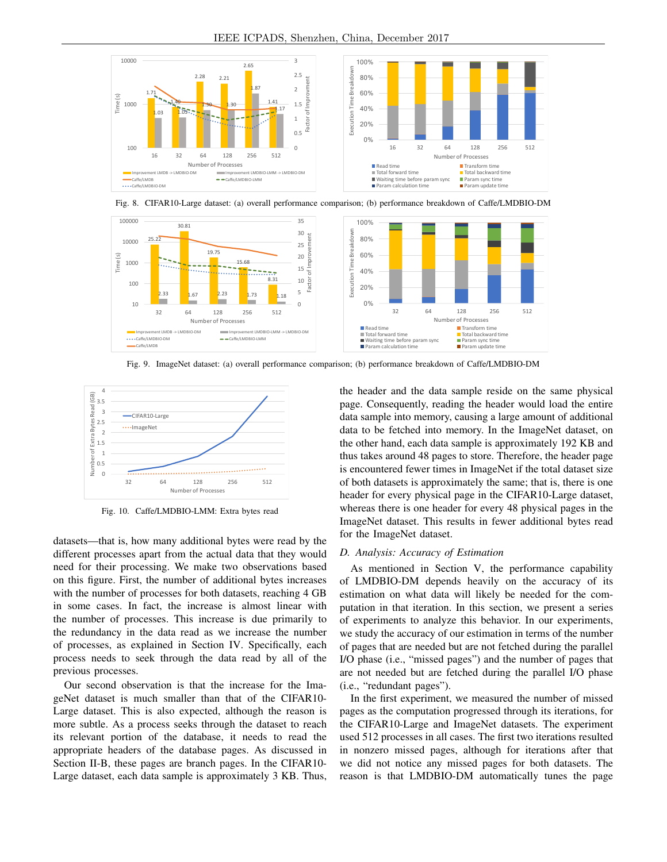

Fig. 8. CIFAR10-Large dataset: (a) overall performance comparison; (b) performance breakdown of Caffe/LMDBIO-DM



Fig. 9. ImageNet dataset: (a) overall performance comparison; (b) performance breakdown of Caffe/LMDBIO-DM



Fig. 10. Caffe/LMDBIO-LMM: Extra bytes read

datasets—that is, how many additional bytes were read by the different processes apart from the actual data that they would need for their processing. We make two observations based on this figure. First, the number of additional bytes increases with the number of processes for both datasets, reaching 4 GB in some cases. In fact, the increase is almost linear with the number of processes. This increase is due primarily to the redundancy in the data read as we increase the number of processes, as explained in Section IV. Specifically, each process needs to seek through the data read by all of the previous processes.

Our second observation is that the increase for the ImageNet dataset is much smaller than that of the CIFAR10- Large dataset. This is also expected, although the reason is more subtle. As a process seeks through the dataset to reach its relevant portion of the database, it needs to read the appropriate headers of the database pages. As discussed in Section II-B, these pages are branch pages. In the CIFAR10- Large dataset, each data sample is approximately 3 KB. Thus, the header and the data sample reside on the same physical page. Consequently, reading the header would load the entire data sample into memory, causing a large amount of additional data to be fetched into memory. In the ImageNet dataset, on the other hand, each data sample is approximately 192 KB and thus takes around 48 pages to store. Therefore, the header page is encountered fewer times in ImageNet if the total dataset size of both datasets is approximately the same; that is, there is one header for every physical page in the CIFAR10-Large dataset, whereas there is one header for every 48 physical pages in the ImageNet dataset. This results in fewer additional bytes read for the ImageNet dataset.

#### *D. Analysis: Accuracy of Estimation*

As mentioned in Section V, the performance capability of LMDBIO-DM depends heavily on the accuracy of its estimation on what data will likely be needed for the computation in that iteration. In this section, we present a series of experiments to analyze this behavior. In our experiments, we study the accuracy of our estimation in terms of the number of pages that are needed but are not fetched during the parallel I/O phase (i.e., "missed pages") and the number of pages that are not needed but are fetched during the parallel I/O phase (i.e., "redundant pages").

In the first experiment, we measured the number of missed pages as the computation progressed through its iterations, for the CIFAR10-Large and ImageNet datasets. The experiment used 512 processes in all cases. The first two iterations resulted in nonzero missed pages, although for iterations after that we did not notice any missed pages for both datasets. The reason is that LMDBIO-DM automatically tunes the page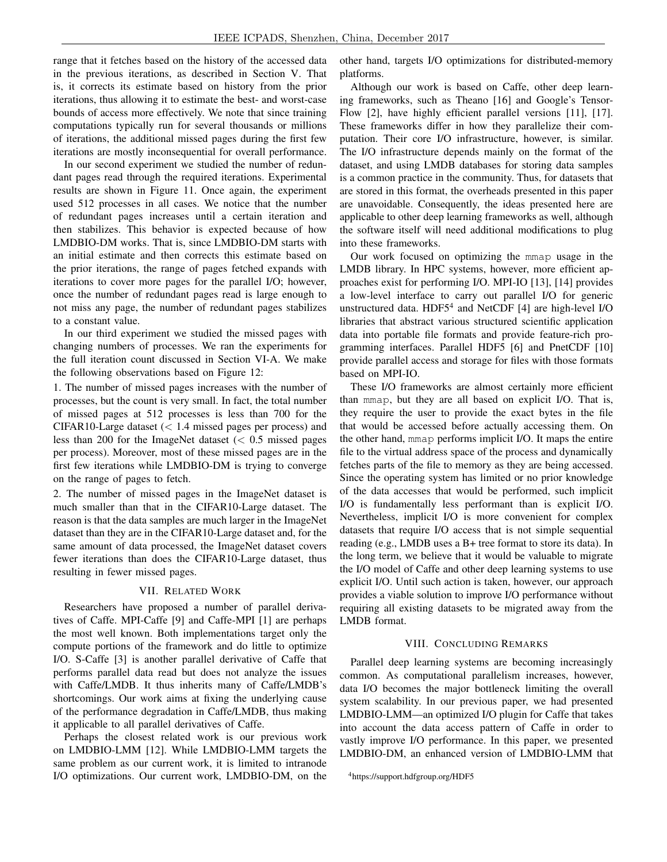range that it fetches based on the history of the accessed data in the previous iterations, as described in Section V. That is, it corrects its estimate based on history from the prior iterations, thus allowing it to estimate the best- and worst-case bounds of access more effectively. We note that since training computations typically run for several thousands or millions of iterations, the additional missed pages during the first few iterations are mostly inconsequential for overall performance.

In our second experiment we studied the number of redundant pages read through the required iterations. Experimental results are shown in Figure 11. Once again, the experiment used 512 processes in all cases. We notice that the number of redundant pages increases until a certain iteration and then stabilizes. This behavior is expected because of how LMDBIO-DM works. That is, since LMDBIO-DM starts with an initial estimate and then corrects this estimate based on the prior iterations, the range of pages fetched expands with iterations to cover more pages for the parallel I/O; however, once the number of redundant pages read is large enough to not miss any page, the number of redundant pages stabilizes to a constant value.

In our third experiment we studied the missed pages with changing numbers of processes. We ran the experiments for the full iteration count discussed in Section VI-A. We make the following observations based on Figure 12:

1. The number of missed pages increases with the number of processes, but the count is very small. In fact, the total number of missed pages at 512 processes is less than 700 for the CIFAR10-Large dataset  $(< 1.4$  missed pages per process) and less than 200 for the ImageNet dataset  $(< 0.5$  missed pages per process). Moreover, most of these missed pages are in the first few iterations while LMDBIO-DM is trying to converge on the range of pages to fetch.

2. The number of missed pages in the ImageNet dataset is much smaller than that in the CIFAR10-Large dataset. The reason is that the data samples are much larger in the ImageNet dataset than they are in the CIFAR10-Large dataset and, for the same amount of data processed, the ImageNet dataset covers fewer iterations than does the CIFAR10-Large dataset, thus resulting in fewer missed pages.

### VII. RELATED WORK

Researchers have proposed a number of parallel derivatives of Caffe. MPI-Caffe [9] and Caffe-MPI [1] are perhaps the most well known. Both implementations target only the compute portions of the framework and do little to optimize I/O. S-Caffe [3] is another parallel derivative of Caffe that performs parallel data read but does not analyze the issues with Caffe/LMDB. It thus inherits many of Caffe/LMDB's shortcomings. Our work aims at fixing the underlying cause of the performance degradation in Caffe/LMDB, thus making it applicable to all parallel derivatives of Caffe.

Perhaps the closest related work is our previous work on LMDBIO-LMM [12]. While LMDBIO-LMM targets the same problem as our current work, it is limited to intranode I/O optimizations. Our current work, LMDBIO-DM, on the

other hand, targets I/O optimizations for distributed-memory platforms.

Although our work is based on Caffe, other deep learning frameworks, such as Theano [16] and Google's Tensor-Flow [2], have highly efficient parallel versions [11], [17]. These frameworks differ in how they parallelize their computation. Their core I/O infrastructure, however, is similar. The I/O infrastructure depends mainly on the format of the dataset, and using LMDB databases for storing data samples is a common practice in the community. Thus, for datasets that are stored in this format, the overheads presented in this paper are unavoidable. Consequently, the ideas presented here are applicable to other deep learning frameworks as well, although the software itself will need additional modifications to plug into these frameworks.

Our work focused on optimizing the mmap usage in the LMDB library. In HPC systems, however, more efficient approaches exist for performing I/O. MPI-IO [13], [14] provides a low-level interface to carry out parallel I/O for generic unstructured data. HDF5<sup>4</sup> and NetCDF [4] are high-level I/O libraries that abstract various structured scientific application data into portable file formats and provide feature-rich programming interfaces. Parallel HDF5 [6] and PnetCDF [10] provide parallel access and storage for files with those formats based on MPI-IO.

These I/O frameworks are almost certainly more efficient than mmap, but they are all based on explicit I/O. That is, they require the user to provide the exact bytes in the file that would be accessed before actually accessing them. On the other hand, mmap performs implicit I/O. It maps the entire file to the virtual address space of the process and dynamically fetches parts of the file to memory as they are being accessed. Since the operating system has limited or no prior knowledge of the data accesses that would be performed, such implicit I/O is fundamentally less performant than is explicit I/O. Nevertheless, implicit I/O is more convenient for complex datasets that require I/O access that is not simple sequential reading (e.g., LMDB uses a B+ tree format to store its data). In the long term, we believe that it would be valuable to migrate the I/O model of Caffe and other deep learning systems to use explicit I/O. Until such action is taken, however, our approach provides a viable solution to improve I/O performance without requiring all existing datasets to be migrated away from the LMDB format.

# VIII. CONCLUDING REMARKS

Parallel deep learning systems are becoming increasingly common. As computational parallelism increases, however, data I/O becomes the major bottleneck limiting the overall system scalability. In our previous paper, we had presented LMDBIO-LMM—an optimized I/O plugin for Caffe that takes into account the data access pattern of Caffe in order to vastly improve I/O performance. In this paper, we presented LMDBIO-DM, an enhanced version of LMDBIO-LMM that

<sup>4</sup>https://support.hdfgroup.org/HDF5